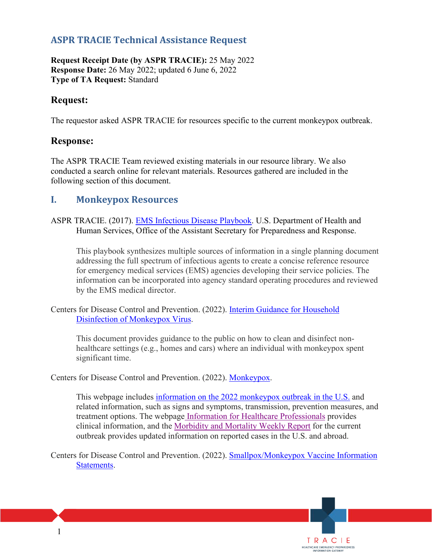## **ASPR TRACIE Technical Assistance Request**

**Request Receipt Date (by ASPR TRACIE):** 25 May 2022 **Response Date:** 26 May 2022; updated 6 June 6, 2022 **Type of TA Request:** Standard

## **Request:**

The requestor asked ASPR TRACIE for resources specific to the current monkeypox outbreak.

## **Response:**

The ASPR TRACIE Team reviewed existing materials in our resource library. We also conducted a search online for relevant materials. Resources gathered are included in the following section of this document.

## **I. Monkeypox Resources**

ASPR TRACIE. (2017). EMS Infectious Disease Playbook. U.S. Department of Health and Human Services, Office of the Assistant Secretary for Preparedness and Response.

This playbook synthesizes multiple sources of information in a single planning document addressing the full spectrum of infectious agents to create a concise reference resource for emergency medical services (EMS) agencies developing their service policies. The information can be incorporated into agency standard operating procedures and reviewed by the EMS medical director.

Centers for Disease Control and Prevention. (2022). Interim Guidance for Household Disinfection of Monkeypox Virus.

This document provides guidance to the public on how to clean and disinfect nonhealthcare settings (e.g., homes and cars) where an individual with monkeypox spent significant time.

Centers for Disease Control and Prevention. (2022). Monkeypox.

This webpage includes information on the 2022 monkeypox outbreak in the U.S. and related information, such as signs and symptoms, transmission, prevention measures, and treatment options. The webpage Information for Healthcare Professionals provides clinical information, and the Morbidity and Mortality Weekly Report for the current outbreak provides updated information on reported cases in the U.S. and abroad.

> TRACIE HEALTHCARE EMERGENCY PREPAREDNESS

Centers for Disease Control and Prevention. (2022). Smallpox/Monkeypox Vaccine Information Statements.

1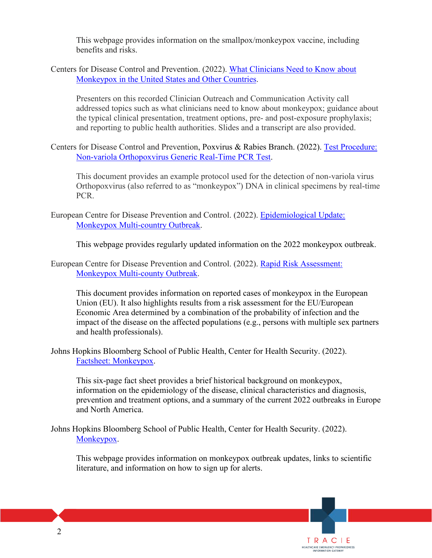This webpage provides information on the smallpox/monkeypox vaccine, including benefits and risks.

Centers for Disease Control and Prevention. (2022). [What Clinicians Need to Know about](https://emergency.cdc.gov/coca/calls/2022/callinfo_052422.asp)  [Monkeypox in the United States and Other Countries.](https://emergency.cdc.gov/coca/calls/2022/callinfo_052422.asp)

Presenters on this recorded Clinician Outreach and Communication Activity call addressed topics such as what clinicians need to know about monkeypox; guidance about the typical clinical presentation, treatment options, pre- and post-exposure prophylaxis; and reporting to public health authorities. Slides and a transcript are also provided.

Centers for Disease Control and Prevention, Poxvirus & Rabies Branch. (2022). [Test Procedure:](https://www.cdc.gov/poxvirus/monkeypox/pdf/PCR-Diagnostic-Protocol-508.pdf?ACSTrackingID=USCDC_2146-DM83437&ACSTrackingLabel=Lab%20Advisory%3A%20CDC%20Publishes%20Non-variola%20Orthopoxvirus%20PCR%20Testing%20Procedure&deliveryName=USCDC_2146-DM83437)  [Non-variola Orthopoxvirus Generic Real-Time PCR Test.](https://www.cdc.gov/poxvirus/monkeypox/pdf/PCR-Diagnostic-Protocol-508.pdf?ACSTrackingID=USCDC_2146-DM83437&ACSTrackingLabel=Lab%20Advisory%3A%20CDC%20Publishes%20Non-variola%20Orthopoxvirus%20PCR%20Testing%20Procedure&deliveryName=USCDC_2146-DM83437)

This document provides an example protocol used for the detection of non-variola virus Orthopoxvirus (also referred to as "monkeypox") DNA in clinical specimens by real-time PCR.

European Centre for Disease Prevention and Control. (2022). [Epidemiological Update:](https://www.ecdc.europa.eu/en/news-events/epidemiological-update-monkeypox-multi-country-outbreak)  [Monkeypox Multi-country Outbreak.](https://www.ecdc.europa.eu/en/news-events/epidemiological-update-monkeypox-multi-country-outbreak)

This webpage provides regularly updated information on the 2022 monkeypox outbreak.

European Centre for Disease Prevention and Control. (2022). [Rapid Risk Assessment:](https://www.ecdc.europa.eu/sites/default/files/documents/Monkeypox-multi-country-outbreak.pdf)  [Monkeypox Multi-county Outbreak.](https://www.ecdc.europa.eu/sites/default/files/documents/Monkeypox-multi-country-outbreak.pdf)

This document provides information on reported cases of monkeypox in the European Union (EU). It also highlights results from a risk assessment for the EU/European Economic Area determined by a combination of the probability of infection and the impact of the disease on the affected populations (e.g., persons with multiple sex partners and health professionals).

Johns Hopkins Bloomberg School of Public Health, Center for Health Security. (2022). [Factsheet: Monkeypox.](https://www.centerforhealthsecurity.org/our-work/pubs_archive/pubs-pdfs/fact_sheets/monkeypox.pdf)

This six-page fact sheet provides a brief historical background on monkeypox, information on the epidemiology of the disease, clinical characteristics and diagnosis, prevention and treatment options, and a summary of the current 2022 outbreaks in Europe and North America.

Johns Hopkins Bloomberg School of Public Health, Center for Health Security. (2022). [Monkeypox.](https://www.centerforhealthsecurity.org/resources/monkeypox/index.html)

This webpage provides information on monkeypox outbreak updates, links to scientific literature, and information on how to sign up for alerts.

> TRACIE HEALTHCARE EMERGENCY PREPAREDNESS